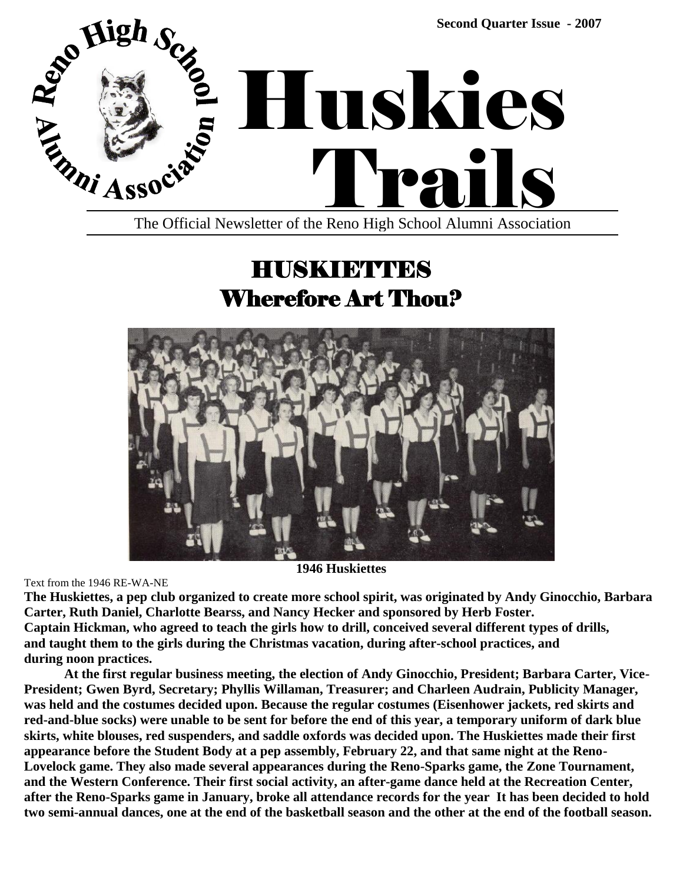

## HUSKIETTES Wherefore Art Thou?



Text from the 1946 RE-WA-NE

**1946 Huskiettes**

**The Huskiettes, a pep club organized to create more school spirit, was originated by Andy Ginocchio, Barbara Carter, Ruth Daniel, Charlotte Bearss, and Nancy Hecker and sponsored by Herb Foster. Captain Hickman, who agreed to teach the girls how to drill, conceived several different types of drills, and taught them to the girls during the Christmas vacation, during after-school practices, and during noon practices.**

**At the first regular business meeting, the election of Andy Ginocchio, President; Barbara Carter, Vice-President; Gwen Byrd, Secretary; Phyllis Willaman, Treasurer; and Charleen Audrain, Publicity Manager, was held and the costumes decided upon. Because the regular costumes (Eisenhower jackets, red skirts and red-and-blue socks) were unable to be sent for before the end of this year, a temporary uniform of dark blue skirts, white blouses, red suspenders, and saddle oxfords was decided upon. The Huskiettes made their first appearance before the Student Body at a pep assembly, February 22, and that same night at the Reno-Lovelock game. They also made several appearances during the Reno-Sparks game, the Zone Tournament, and the Western Conference. Their first social activity, an after-game dance held at the Recreation Center, after the Reno-Sparks game in January, broke all attendance records for the year It has been decided to hold two semi-annual dances, one at the end of the basketball season and the other at the end of the football season.**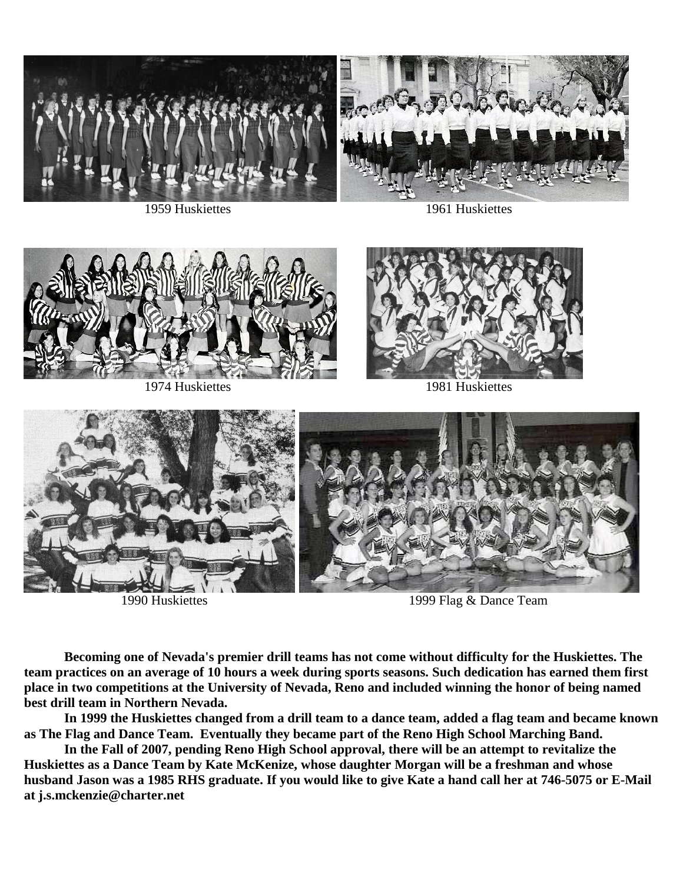





1959 Huskiettes 1961 Huskiettes





1974 Huskiettes 1981 Huskiettes



1990 Huskiettes 1999 Flag & Dance Team

**Becoming one of Nevada's premier drill teams has not come without difficulty for the Huskiettes. The team practices on an average of 10 hours a week during sports seasons. Such dedication has earned them first place in two competitions at the University of Nevada, Reno and included winning the honor of being named best drill team in Northern Nevada.**

**In 1999 the Huskiettes changed from a drill team to a dance team, added a flag team and became known as The Flag and Dance Team. Eventually they became part of the Reno High School Marching Band.**

**In the Fall of 2007, pending Reno High School approval, there will be an attempt to revitalize the Huskiettes as a Dance Team by Kate McKenize, whose daughter Morgan will be a freshman and whose husband Jason was a 1985 RHS graduate. If you would like to give Kate a hand call her at 746-5075 or E-Mail at [j.s.mckenzie@charter.net](mailto:j.s.mckenzie@charter.net)**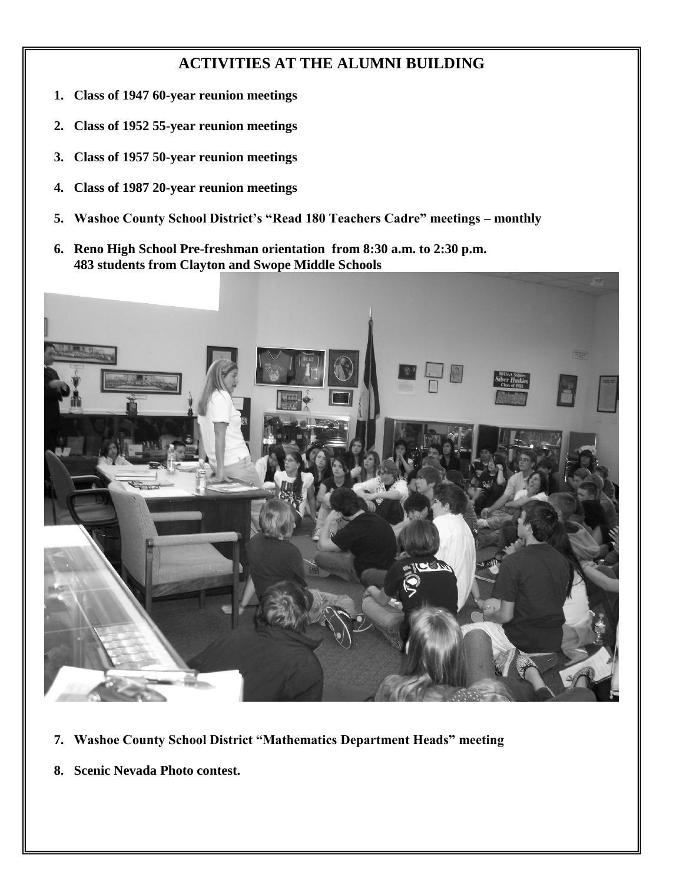#### **ACTIVITIES AT THE ALUMNI BUILDING**

- **1. Class of 1947 60-year reunion meetings**
- **2. Class of 1952 55-year reunion meetings**
- **3. Class of 1957 50-year reunion meetings**
- **4. Class of 1987 20-year reunion meetings**
- **5.** Washoe County School District's "Read 180 Teachers Cadre" meetings monthly
- **6. Reno High School Pre-freshman orientation from 8:30 a.m. to 2:30 p.m. 483 students from Clayton and Swope Middle Schools**



- **7.** Washoe County School District "Mathematics Department Heads" meeting
- **8. Scenic Nevada Photo contest.**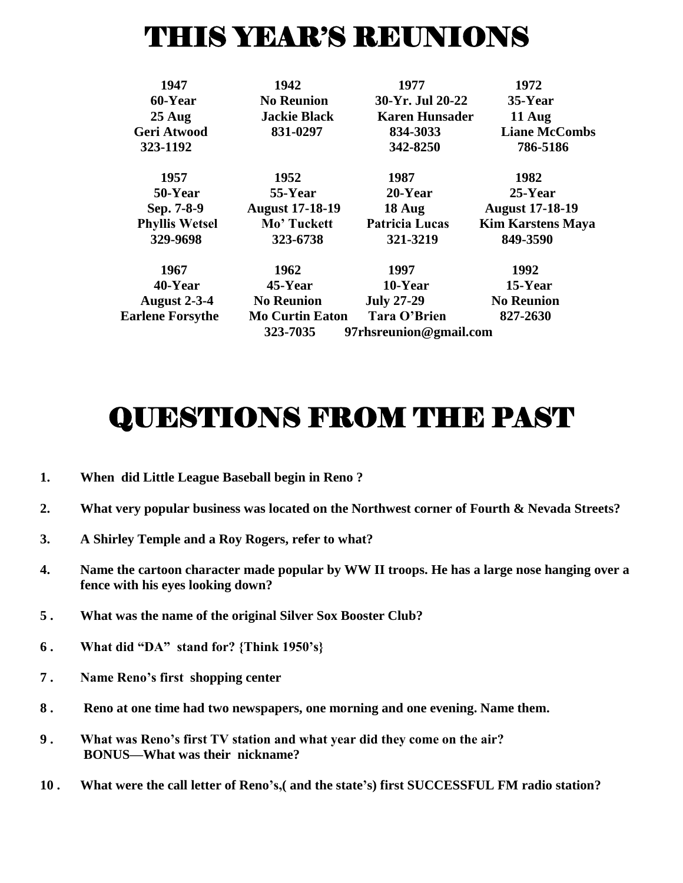# THIS YEAR'S REUNIONS

| 1947                    | 1942                               | 1977                  | 1972                     |
|-------------------------|------------------------------------|-----------------------|--------------------------|
| 60-Year                 | <b>No Reunion</b>                  | 30-Yr. Jul 20-22      | 35-Year                  |
| $25$ Aug                | <b>Jackie Black</b>                | <b>Karen Hunsader</b> | $11$ Aug                 |
| <b>Geri Atwood</b>      | 831-0297                           | 834-3033              | <b>Liane McCombs</b>     |
| 323-1192                |                                    | 342-8250              | 786-5186                 |
| 1957                    | 1952                               | 1987                  | 1982                     |
| 50-Year                 | 55-Year                            | $20$ -Year            | $25$ -Year               |
| Sep. 7-8-9              | <b>August 17-18-19</b>             | $18$ Aug              | <b>August 17-18-19</b>   |
| <b>Phyllis Wetsel</b>   | Mo' Tuckett                        | <b>Patricia Lucas</b> | <b>Kim Karstens Maya</b> |
| 329-9698                | 323-6738                           | 321-3219              | 849-3590                 |
| 1967                    | 1962                               | 1997                  | 1992                     |
| 40-Year                 | $45$ -Year                         | 10-Year               | 15-Year                  |
| <b>August 2-3-4</b>     | <b>No Reunion</b>                  | <b>July 27-29</b>     | <b>No Reunion</b>        |
| <b>Earlene Forsythe</b> | <b>Mo Curtin Eaton</b>             | Tara O'Brien          | 827-2630                 |
|                         | 323-7035<br>97rhsreunion@gmail.com |                       |                          |

## QUESTIONS FROM THE PAST

- **1. When did Little League Baseball begin in Reno ?**
- **2. What very popular business was located on the Northwest corner of Fourth & Nevada Streets?**
- **3. A Shirley Temple and a Roy Rogers, refer to what?**
- **4. Name the cartoon character made popular by WW II troops. He has a large nose hanging over a fence with his eyes looking down?**
- **5 . What was the name of the original Silver Sox Booster Club?**
- **6.** What did "DA" stand for? {Think 1950's}
- **7 . Name Reno's first shopping center**
- **8 . Reno at one time had two newspapers, one morning and one evening. Name them.**
- **9 . What was Reno's first TV station and what year did they come on the air? BONUS—What was their nickname?**
- **10 . What were the call letter of Reno's,( and the state's) first SUCCESSFUL FM radio station?**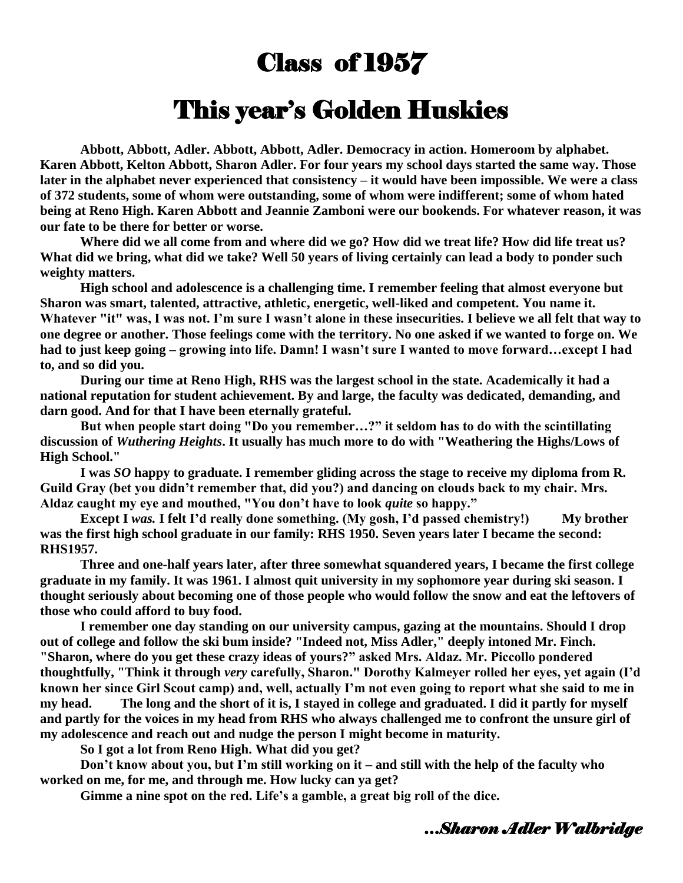### Class of 1957

#### This year's Golden Huskies

**Abbott, Abbott, Adler. Abbott, Abbott, Adler. Democracy in action. Homeroom by alphabet. Karen Abbott, Kelton Abbott, Sharon Adler. For four years my school days started the same way. Those later in the alphabet never experienced that consistency – it would have been impossible. We were a class of 372 students, some of whom were outstanding, some of whom were indifferent; some of whom hated being at Reno High. Karen Abbott and Jeannie Zamboni were our bookends. For whatever reason, it was our fate to be there for better or worse.**

**Where did we all come from and where did we go? How did we treat life? How did life treat us? What did we bring, what did we take? Well 50 years of living certainly can lead a body to ponder such weighty matters.** 

**High school and adolescence is a challenging time. I remember feeling that almost everyone but Sharon was smart, talented, attractive, athletic, energetic, well-liked and competent. You name it. Whatever "it" was, I was not. I'm sure I wasn't alone in these insecurities. I believe we all felt that way to one degree or another. Those feelings come with the territory. No one asked if we wanted to forge on. We had to just keep going – growing into life. Damn! I wasn't sure I wanted to move forward…except I had to, and so did you.** 

**During our time at Reno High, RHS was the largest school in the state. Academically it had a national reputation for student achievement. By and large, the faculty was dedicated, demanding, and darn good. And for that I have been eternally grateful.**

But when people start doing "Do you remember...?" it seldom has to do with the scintillating **discussion of** *Wuthering Heights***. It usually has much more to do with "Weathering the Highs/Lows of High School."** 

**I was** *SO* **happy to graduate. I remember gliding across the stage to receive my diploma from R. Guild Gray (bet you didn't remember that, did you?) and dancing on clouds back to my chair. Mrs.**  Aldaz caught my eye and mouthed, "You don't have to look *quite* so happy."

**Except I** *was.* **I** felt I'd really done something. (My gosh, I'd passed chemistry!) My brother **was the first high school graduate in our family: RHS 1950. Seven years later I became the second: RHS1957.** 

**Three and one-half years later, after three somewhat squandered years, I became the first college graduate in my family. It was 1961. I almost quit university in my sophomore year during ski season. I thought seriously about becoming one of those people who would follow the snow and eat the leftovers of those who could afford to buy food.**

**I remember one day standing on our university campus, gazing at the mountains. Should I drop out of college and follow the ski bum inside? "Indeed not, Miss Adler," deeply intoned Mr. Finch. "Sharon, where do you get these crazy ideas of yours?‖ asked Mrs. Aldaz. Mr. Piccollo pondered thoughtfully, "Think it through** *very* **carefully, Sharon." Dorothy Kalmeyer rolled her eyes, yet again (I'd known her since Girl Scout camp) and, well, actually I'm not even going to report what she said to me in my head. The long and the short of it is, I stayed in college and graduated. I did it partly for myself and partly for the voices in my head from RHS who always challenged me to confront the unsure girl of my adolescence and reach out and nudge the person I might become in maturity.**

**So I got a lot from Reno High. What did you get?**

**Don't know about you, but I'm still working on it – and still with the help of the faculty who worked on me, for me, and through me. How lucky can ya get?**

**Gimme a nine spot on the red. Life's a gamble, a great big roll of the dice.**

#### *…Sharon Adler Walbridge*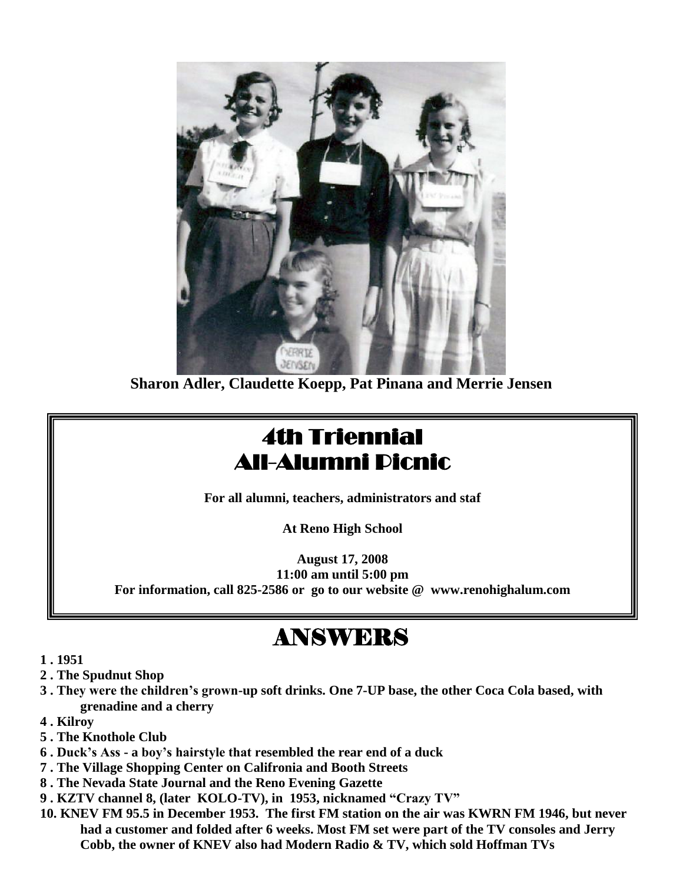

**Sharon Adler, Claudette Koepp, Pat Pinana and Merrie Jensen**

### 4th Triennial All-Alumni Picnic

**For all alumni, teachers, administrators and staf**

**At Reno High School**

**August 17, 2008 11:00 am until 5:00 pm For information, call 825-2586 or go to our website @ www.renohighalum.com**

## ANSWERS

- **1 . 1951**
- **2 . The Spudnut Shop**
- **3 . They were the children's grown-up soft drinks. One 7-UP base, the other Coca Cola based, with grenadine and a cherry**
- **4 . Kilroy**
- **5 . The Knothole Club**
- **6 . Duck's Ass - a boy's hairstyle that resembled the rear end of a duck**
- **7 . The Village Shopping Center on Califronia and Booth Streets**
- **8 . The Nevada State Journal and the Reno Evening Gazette**
- 9. KZTV channel 8, (later KOLO-TV), in 1953, nicknamed "Crazy TV"
- **10. KNEV FM 95.5 in December 1953. The first FM station on the air was KWRN FM 1946, but never had a customer and folded after 6 weeks. Most FM set were part of the TV consoles and Jerry Cobb, the owner of KNEV also had Modern Radio & TV, which sold Hoffman TVs**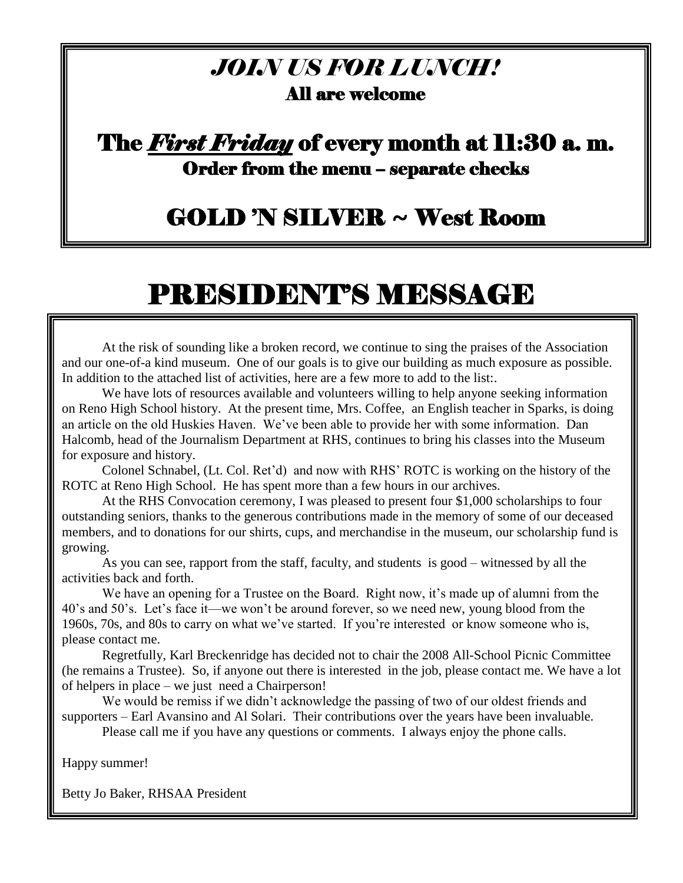#### *JOIN US FOR LUNCH!* All are welcome

#### The *First Friday* of every month at 11:30 a. m. Order from the menu – separate checks

### GOLD 'N SILVER ~ West Room

## PRESIDENT'S MESSAGE

At the risk of sounding like a broken record, we continue to sing the praises of the Association and our one-of-a kind museum. One of our goals is to give our building as much exposure as possible. In addition to the attached list of activities, here are a few more to add to the list:.

We have lots of resources available and volunteers willing to help anyone seeking information on Reno High School history. At the present time, Mrs. Coffee, an English teacher in Sparks, is doing an article on the old Huskies Haven. We've been able to provide her with some information. Dan Halcomb, head of the Journalism Department at RHS, continues to bring his classes into the Museum for exposure and history.

Colonel Schnabel, (Lt. Col. Ret'd) and now with RHS' ROTC is working on the history of the ROTC at Reno High School. He has spent more than a few hours in our archives.

At the RHS Convocation ceremony, I was pleased to present four \$1,000 scholarships to four outstanding seniors, thanks to the generous contributions made in the memory of some of our deceased members, and to donations for our shirts, cups, and merchandise in the museum, our scholarship fund is growing.

As you can see, rapport from the staff, faculty, and students is good – witnessed by all the activities back and forth.

We have an opening for a Trustee on the Board. Right now, it's made up of alumni from the 40's and 50's. Let's face it—we won't be around forever, so we need new, young blood from the 1960s, 70s, and 80s to carry on what we've started. If you're interested or know someone who is, please contact me.

Regretfully, Karl Breckenridge has decided not to chair the 2008 All-School Picnic Committee (he remains a Trustee). So, if anyone out there is interested in the job, please contact me. We have a lot of helpers in place – we just need a Chairperson!

We would be remiss if we didn't acknowledge the passing of two of our oldest friends and supporters – Earl Avansino and Al Solari. Their contributions over the years have been invaluable.

Please call me if you have any questions or comments. I always enjoy the phone calls.

Happy summer!

Betty Jo Baker, RHSAA President